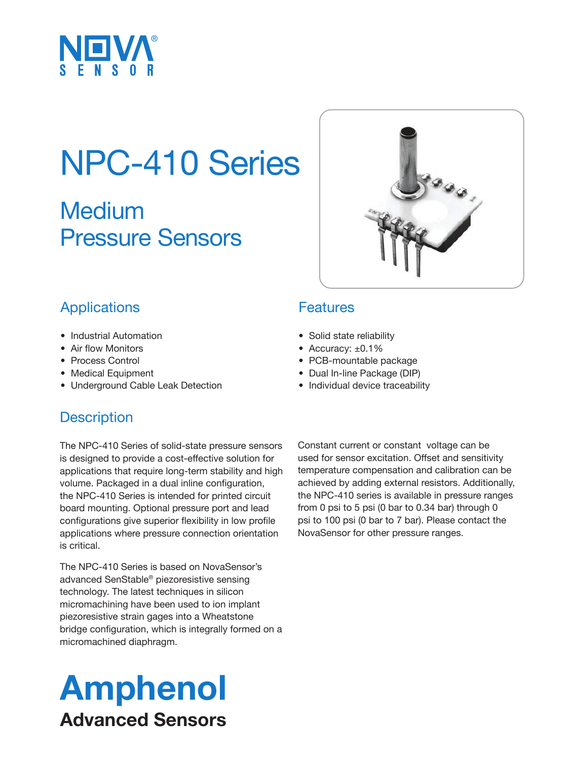

## NPC-410 Series

Medium Pressure Sensors



### **Applications**

- Industrial Automation
- Air flow Monitors
- Process Control
- Medical Equipment
- Underground Cable Leak Detection

### **Description**

The NPC-410 Series of solid-state pressure sensors is designed to provide a cost-effective solution for applications that require long-term stability and high volume. Packaged in a dual inline configuration, the NPC-410 Series is intended for printed circuit board mounting. Optional pressure port and lead configurations give superior flexibility in low profile applications where pressure connection orientation is critical.

The NPC-410 Series is based on NovaSensor's advanced SenStable® piezoresistive sensing technology. The latest techniques in silicon micromachining have been used to ion implant piezoresistive strain gages into a Wheatstone bridge configuration, which is integrally formed on a micromachined diaphragm.

### Amphenol Advanced Sensors

Constant current or constant voltage can be used for sensor excitation. Offset and sensitivity temperature compensation and calibration can be achieved by adding external resistors. Additionally, the NPC-410 series is available in pressure ranges from 0 psi to 5 psi (0 bar to 0.34 bar) through 0 psi to 100 psi (0 bar to 7 bar). Please contact the NovaSensor for other pressure ranges.

#### **Features**

- Solid state reliability
- Accuracy: ±0.1%
- PCB-mountable package
- Dual In-line Package (DIP)
- Individual device traceability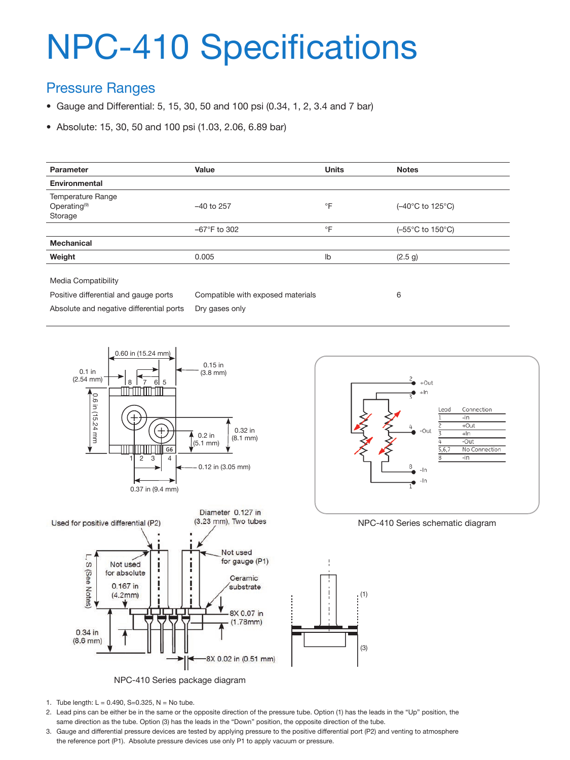# NPC-410 Specifications

#### Pressure Ranges

- Gauge and Differential: 5, 15, 30, 50 and 100 psi (0.34, 1, 2, 3.4 and 7 bar)
- Absolute: 15, 30, 50 and 100 psi (1.03, 2.06, 6.89 bar)

| Parameter                | Value                  | <b>Units</b> | <b>Notes</b>     |
|--------------------------|------------------------|--------------|------------------|
| Environmental            |                        |              |                  |
| Temperature Range        |                        |              |                  |
| Operating <sup>(9)</sup> | $-40$ to 257           | $\circ$ F    | (-40°C to 125°C) |
| Storage                  |                        |              |                  |
|                          | $-67^{\circ}$ F to 302 | $\circ$ F    | (-55°C to 150°C) |
| <b>Mechanical</b>        |                        |              |                  |
| Weight                   | 0.005                  | lb           | (2.5 g)          |

Media Compatibility

Positive differential and gauge ports Absolute and negative differential ports Compatible with exposed materials Dry gases only

6





NPC-410 Series package diagram



- 2. Lead pins can be either be in the same or the opposite direction of the pressure tube. Option (1) has the leads in the "Up" position, the same direction as the tube. Option (3) has the leads in the "Down" position, the opposite direction of the tube.
- 3. Gauge and differential pressure devices are tested by applying pressure to the positive differential port (P2) and venting to atmosphere the reference port (P1). Absolute pressure devices use only P1 to apply vacuum or pressure.





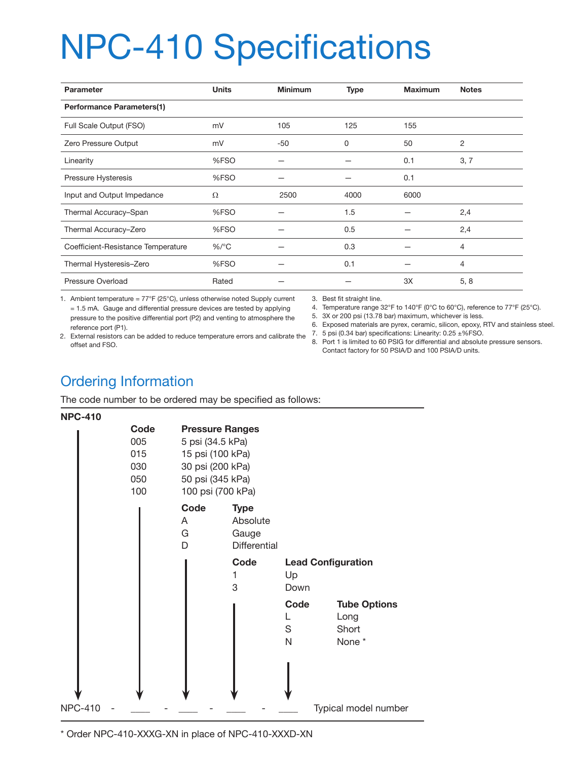# NPC-410 Specifications

| <b>Parameter</b>                   | <b>Units</b> | <b>Minimum</b> | <b>Type</b> | <b>Maximum</b> | <b>Notes</b> |  |  |  |
|------------------------------------|--------------|----------------|-------------|----------------|--------------|--|--|--|
| <b>Performance Parameters(1)</b>   |              |                |             |                |              |  |  |  |
| Full Scale Output (FSO)            | mV           | 105            | 125         | 155            |              |  |  |  |
| Zero Pressure Output               | mV           | -50            | 0           | 50             | 2            |  |  |  |
| Linearity                          | %FSO         |                |             | 0.1            | 3, 7         |  |  |  |
| Pressure Hysteresis                | %FSO         |                |             | 0.1            |              |  |  |  |
| Input and Output Impedance         | Ω            | 2500           | 4000        | 6000           |              |  |  |  |
| Thermal Accuracy-Span              | %FSO         |                | 1.5         |                | 2,4          |  |  |  |
| Thermal Accuracy-Zero              | %FSO         |                | 0.5         |                | 2,4          |  |  |  |
| Coefficient-Resistance Temperature | $%$ /°C      |                | 0.3         |                | 4            |  |  |  |
| Thermal Hysteresis-Zero            | %FSO         |                | 0.1         |                | 4            |  |  |  |
| Pressure Overload                  | Rated        |                |             | 3X             | 5, 8         |  |  |  |

1. Ambient temperature = 77°F (25°C), unless otherwise noted Supply current = 1.5 mA. Gauge and differential pressure devices are tested by applying pressure to the positive differential port (P2) and venting to atmosphere the reference port (P1). 2. External resistors can be added to reduce temperature errors and calibrate the

3. Best fit straight line.

- 4. Temperature range 32°F to 140°F (0°C to 60°C), reference to 77°F (25°C).
- 5. 3X or 200 psi (13.78 bar) maximum, whichever is less.
- 6. Exposed materials are pyrex, ceramic, silicon, epoxy, RTV and stainless steel.
- 7. 5 psi (0.34 bar) specifications: Linearity: 0.25 ±%FSO.
	- 8. Port 1 is limited to 60 PSIG for differential and absolute pressure sensors. Contact factory for 50 PSIA/D and 100 PSIA/D units.

### Ordering Information

The code number to be ordered may be specified as follows:

#### **NPC-410**

offset and FSO.



\* Order NPC-410-XXXG-XN in place of NPC-410-XXXD-XN